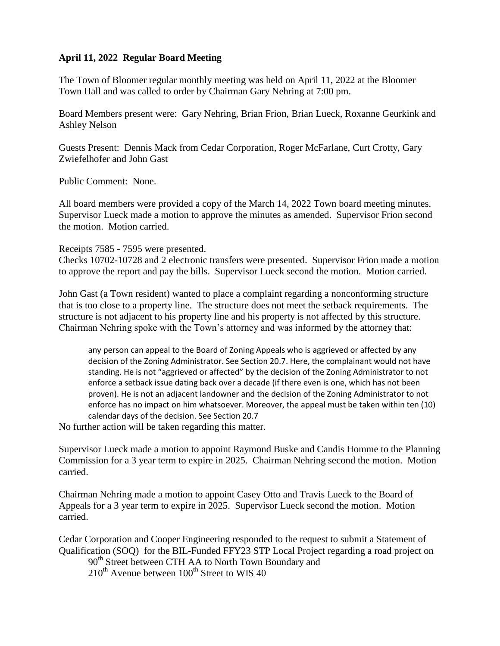## **April 11, 2022 Regular Board Meeting**

The Town of Bloomer regular monthly meeting was held on April 11, 2022 at the Bloomer Town Hall and was called to order by Chairman Gary Nehring at 7:00 pm.

Board Members present were: Gary Nehring, Brian Frion, Brian Lueck, Roxanne Geurkink and Ashley Nelson

Guests Present: Dennis Mack from Cedar Corporation, Roger McFarlane, Curt Crotty, Gary Zwiefelhofer and John Gast

Public Comment: None.

All board members were provided a copy of the March 14, 2022 Town board meeting minutes. Supervisor Lueck made a motion to approve the minutes as amended. Supervisor Frion second the motion. Motion carried.

Receipts 7585 - 7595 were presented.

Checks 10702-10728 and 2 electronic transfers were presented. Supervisor Frion made a motion to approve the report and pay the bills. Supervisor Lueck second the motion. Motion carried.

John Gast (a Town resident) wanted to place a complaint regarding a nonconforming structure that is too close to a property line. The structure does not meet the setback requirements. The structure is not adjacent to his property line and his property is not affected by this structure. Chairman Nehring spoke with the Town's attorney and was informed by the attorney that:

any person can appeal to the Board of Zoning Appeals who is aggrieved or affected by any decision of the Zoning Administrator. See Section 20.7. Here, the complainant would not have standing. He is not "aggrieved or affected" by the decision of the Zoning Administrator to not enforce a setback issue dating back over a decade (if there even is one, which has not been proven). He is not an adjacent landowner and the decision of the Zoning Administrator to not enforce has no impact on him whatsoever. Moreover, the appeal must be taken within ten (10) calendar days of the decision. See Section 20.7

No further action will be taken regarding this matter.

Supervisor Lueck made a motion to appoint Raymond Buske and Candis Homme to the Planning Commission for a 3 year term to expire in 2025. Chairman Nehring second the motion. Motion carried.

Chairman Nehring made a motion to appoint Casey Otto and Travis Lueck to the Board of Appeals for a 3 year term to expire in 2025. Supervisor Lueck second the motion. Motion carried.

Cedar Corporation and Cooper Engineering responded to the request to submit a Statement of Qualification (SOQ) for the BIL-Funded FFY23 STP Local Project regarding a road project on 90<sup>th</sup> Street between CTH AA to North Town Boundary and

 $210^{th}$  Avenue between  $100^{th}$  Street to WIS 40